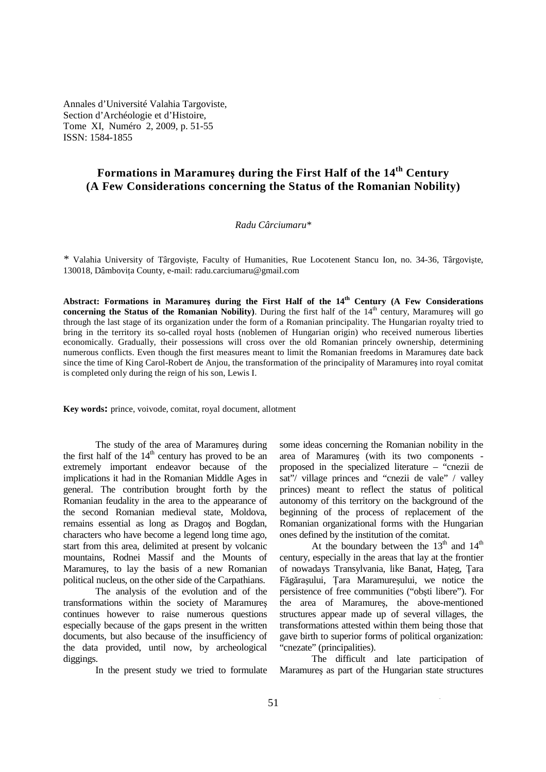Annales d'Université Valahia Targoviste, Section d'Archéologie et d'Histoire, Tome XI, Numéro 2, 2009, p. 51-55 ISSN: 1584-1855

# **Formations in Maramureş during the First Half of the 14th Century (A Few Considerations concerning the Status of the Romanian Nobility)**

#### *Radu Cârciumaru\**

*\** Valahia University of Târgovişte, Faculty of Humanities, Rue Locotenent Stancu Ion, no. 34-36, Târgovişte, 130018, Dâmbovita County, e-mail: radu.carciumaru@gmail.com

**Abstract: Formations in Maramureş during the First Half of the 14th Century (A Few Considerations concerning the Status of the Romanian Nobility**). During the first half of the  $14<sup>th</sup>$  century, Maramures will go through the last stage of its organization under the form of a Romanian principality. The Hungarian royalty tried to bring in the territory its so-called royal hosts (noblemen of Hungarian origin) who received numerous liberties economically. Gradually, their possessions will cross over the old Romanian princely ownership, determining numerous conflicts. Even though the first measures meant to limit the Romanian freedoms in Maramureş date back since the time of King Carol-Robert de Anjou, the transformation of the principality of Maramureş into royal comitat is completed only during the reign of his son, Lewis I.

**Key words:** prince, voivode, comitat, royal document, allotment

The study of the area of Maramureş during the first half of the  $14<sup>th</sup>$  century has proved to be an extremely important endeavor because of the implications it had in the Romanian Middle Ages in general. The contribution brought forth by the Romanian feudality in the area to the appearance of the second Romanian medieval state, Moldova, remains essential as long as Dragoş and Bogdan, characters who have become a legend long time ago, start from this area, delimited at present by volcanic mountains, Rodnei Massif and the Mounts of Maramureş, to lay the basis of a new Romanian political nucleus, on the other side of the Carpathians.

The analysis of the evolution and of the transformations within the society of Maramureş continues however to raise numerous questions especially because of the gaps present in the written documents, but also because of the insufficiency of the data provided, until now, by archeological diggings.

In the present study we tried to formulate

some ideas concerning the Romanian nobility in the area of Maramureş (with its two components proposed in the specialized literature – "cnezii de sat"/ village princes and "cnezii de vale" / valley princes) meant to reflect the status of political autonomy of this territory on the background of the beginning of the process of replacement of the Romanian organizational forms with the Hungarian ones defined by the institution of the comitat.

At the boundary between the  $13<sup>th</sup>$  and  $14<sup>th</sup>$ century, especially in the areas that lay at the frontier of nowadays Transylvania, like Banat, Hateg, Tara Făgărașului, Țara Maramureșului, we notice the persistence of free communities ("obşti libere"). For the area of Maramureş, the above-mentioned structures appear made up of several villages, the transformations attested within them being those that gave birth to superior forms of political organization: "cnezate" (principalities).

The difficult and late participation of Maramureş as part of the Hungarian state structures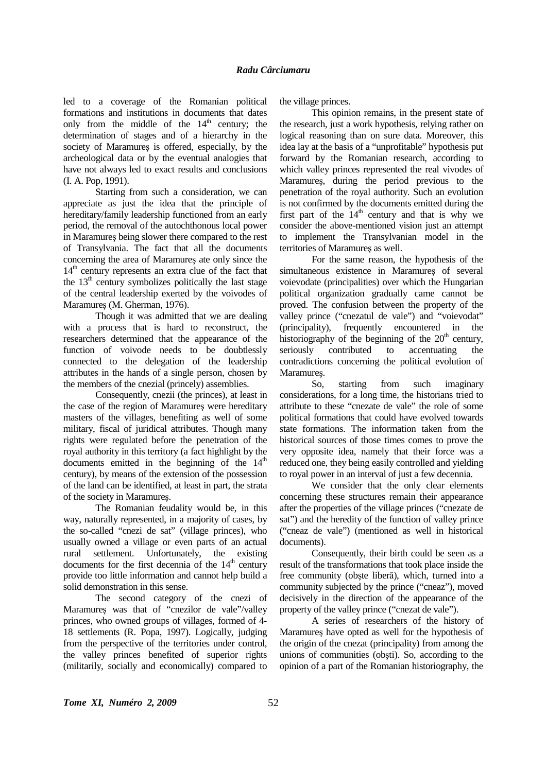led to a coverage of the Romanian political formations and institutions in documents that dates only from the middle of the  $14<sup>th</sup>$  century; the determination of stages and of a hierarchy in the society of Maramureş is offered, especially, by the archeological data or by the eventual analogies that have not always led to exact results and conclusions (I. A. Pop, 1991).

Starting from such a consideration, we can appreciate as just the idea that the principle of hereditary/family leadership functioned from an early period, the removal of the autochthonous local power in Maramureş being slower there compared to the rest of Transylvania. The fact that all the documents concerning the area of Maramureş ate only since the  $14<sup>th</sup>$  century represents an extra clue of the fact that the  $13<sup>th</sup>$  century symbolizes politically the last stage of the central leadership exerted by the voivodes of Maramureş (M. Gherman, 1976).

Though it was admitted that we are dealing with a process that is hard to reconstruct, the researchers determined that the appearance of the function of voivode needs to be doubtlessly connected to the delegation of the leadership attributes in the hands of a single person, chosen by the members of the cnezial (princely) assemblies.

Consequently, cnezii (the princes), at least in the case of the region of Maramureş were hereditary masters of the villages, benefiting as well of some military, fiscal of juridical attributes. Though many rights were regulated before the penetration of the royal authority in this territory (a fact highlight by the documents emitted in the beginning of the  $14<sup>th</sup>$ century), by means of the extension of the possession of the land can be identified, at least in part, the strata of the society in Maramureş.

The Romanian feudality would be, in this way, naturally represented, in a majority of cases, by the so-called "cnezi de sat" (village princes), who usually owned a village or even parts of an actual rural settlement. Unfortunately, the existing documents for the first decennia of the  $14<sup>th</sup>$  century provide too little information and cannot help build a solid demonstration in this sense.

The second category of the cnezi of Maramureş was that of "cnezilor de vale"/valley princes, who owned groups of villages, formed of 4- 18 settlements (R. Popa, 1997). Logically, judging from the perspective of the territories under control, the valley princes benefited of superior rights (militarily, socially and economically) compared to

the village princes.

This opinion remains, in the present state of the research, just a work hypothesis, relying rather on logical reasoning than on sure data. Moreover, this idea lay at the basis of a "unprofitable" hypothesis put forward by the Romanian research, according to which valley princes represented the real vivodes of Maramureş, during the period previous to the penetration of the royal authority. Such an evolution is not confirmed by the documents emitted during the first part of the  $14<sup>th</sup>$  century and that is why we consider the above-mentioned vision just an attempt to implement the Transylvanian model in the territories of Maramureş as well.

For the same reason, the hypothesis of the simultaneous existence in Maramureş of several voievodate (principalities) over which the Hungarian political organization gradually came cannot be proved. The confusion between the property of the valley prince ("cnezatul de vale") and "voievodat" (principality), frequently encountered in the historiography of the beginning of the  $20<sup>th</sup>$  century, seriously contributed to accentuating the contradictions concerning the political evolution of Maramureş.

So, starting from such imaginary considerations, for a long time, the historians tried to attribute to these "cnezate de vale" the role of some political formations that could have evolved towards state formations. The information taken from the historical sources of those times comes to prove the very opposite idea, namely that their force was a reduced one, they being easily controlled and yielding to royal power in an interval of just a few decennia.

We consider that the only clear elements concerning these structures remain their appearance after the properties of the village princes ("cnezate de sat") and the heredity of the function of valley prince ("cneaz de vale") (mentioned as well in historical documents).

Consequently, their birth could be seen as a result of the transformations that took place inside the free community (obşte liberă), which, turned into a community subjected by the prince ("cneaz"), moved decisively in the direction of the appearance of the property of the valley prince ("cnezat de vale").

A series of researchers of the history of Maramureş have opted as well for the hypothesis of the origin of the cnezat (principality) from among the unions of communities (obşti). So, according to the opinion of a part of the Romanian historiography, the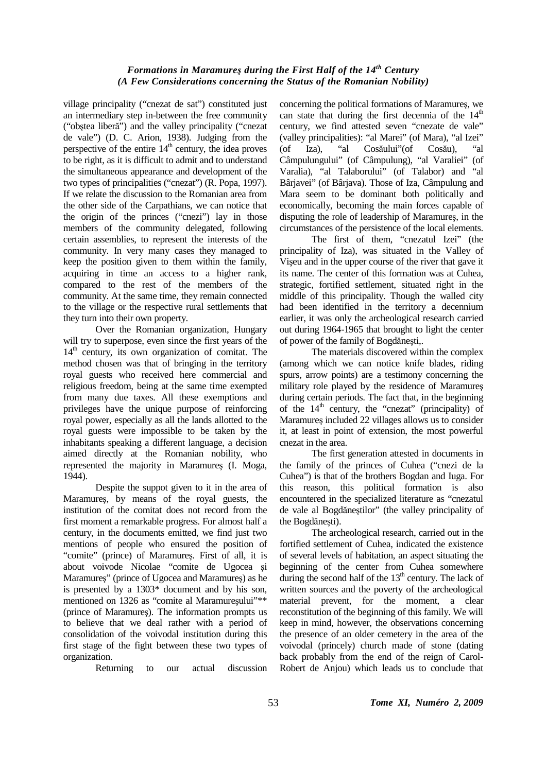## *Formations in Maramureş during the First Half of the 14th Century (A Few Considerations concerning the Status of the Romanian Nobility)*

village principality ("cnezat de sat") constituted just an intermediary step in-between the free community ("obştea liberă") and the valley principality ("cnezat de vale") (D. C. Arion, 1938). Judging from the perspective of the entire  $14<sup>th</sup>$  century, the idea proves to be right, as it is difficult to admit and to understand the simultaneous appearance and development of the two types of principalities ("cnezat") (R. Popa, 1997). If we relate the discussion to the Romanian area from the other side of the Carpathians, we can notice that the origin of the princes ("cnezi") lay in those members of the community delegated, following certain assemblies, to represent the interests of the community. In very many cases they managed to keep the position given to them within the family, acquiring in time an access to a higher rank, compared to the rest of the members of the community. At the same time, they remain connected to the village or the respective rural settlements that they turn into their own property.

Over the Romanian organization, Hungary will try to superpose, even since the first years of the  $14<sup>th</sup>$  century, its own organization of comitat. The method chosen was that of bringing in the territory royal guests who received here commercial and religious freedom, being at the same time exempted from many due taxes. All these exemptions and privileges have the unique purpose of reinforcing royal power, especially as all the lands allotted to the royal guests were impossible to be taken by the inhabitants speaking a different language, a decision aimed directly at the Romanian nobility, who represented the majority in Maramureş (I. Moga, 1944).

Despite the suppot given to it in the area of Maramureş, by means of the royal guests, the institution of the comitat does not record from the first moment a remarkable progress. For almost half a century, in the documents emitted, we find just two mentions of people who ensured the position of "comite" (prince) of Maramureş. First of all, it is about voivode Nicolae "comite de Ugocea şi Maramureş" (prince of Ugocea and Maramureş) as he is presented by a 1303\* document and by his son, mentioned on 1326 as "comite al Maramureșului"\*\* (prince of Maramureş). The information prompts us to believe that we deal rather with a period of consolidation of the voivodal institution during this first stage of the fight between these two types of organization.

Returning to our actual discussion

concerning the political formations of Maramureş, we can state that during the first decennia of the  $14<sup>th</sup>$ century, we find attested seven "cnezate de vale" (valley principalities): "al Marei" (of Mara), "al Izei" (of Iza), "al Cosăului"(of Cosău), "al Câmpulungului" (of Câmpulung), "al Varaliei" (of Varalia), "al Talaborului" (of Talabor) and "al Bârjavei" (of Bârjava). Those of Iza, Câmpulung and Mara seem to be dominant both politically and economically, becoming the main forces capable of disputing the role of leadership of Maramureş, in the circumstances of the persistence of the local elements.

The first of them, "cnezatul Izei" (the principality of Iza), was situated in the Valley of Vişeu and in the upper course of the river that gave it its name. The center of this formation was at Cuhea, strategic, fortified settlement, situated right in the middle of this principality. Though the walled city had been identified in the territory a decennium earlier, it was only the archeological research carried out during 1964-1965 that brought to light the center of power of the family of Bogdăneşti,.

The materials discovered within the complex (among which we can notice knife blades, riding spurs, arrow points) are a testimony concerning the military role played by the residence of Maramureş during certain periods. The fact that, in the beginning of the  $14<sup>th</sup>$  century, the "cnezat" (principality) of Maramureş included 22 villages allows us to consider it, at least in point of extension, the most powerful cnezat in the area.

The first generation attested in documents in the family of the princes of Cuhea ("cnezi de la Cuhea") is that of the brothers Bogdan and Iuga. For this reason, this political formation is also encountered in the specialized literature as "cnezatul de vale al Bogdăneştilor" (the valley principality of the Bogdăneşti).

The archeological research, carried out in the fortified settlement of Cuhea, indicated the existence of several levels of habitation, an aspect situating the beginning of the center from Cuhea somewhere during the second half of the  $13<sup>th</sup>$  century. The lack of written sources and the poverty of the archeological material prevent, for the moment, a clear reconstitution of the beginning of this family. We will keep in mind, however, the observations concerning the presence of an older cemetery in the area of the voivodal (princely) church made of stone (dating back probably from the end of the reign of Carol-Robert de Anjou) which leads us to conclude that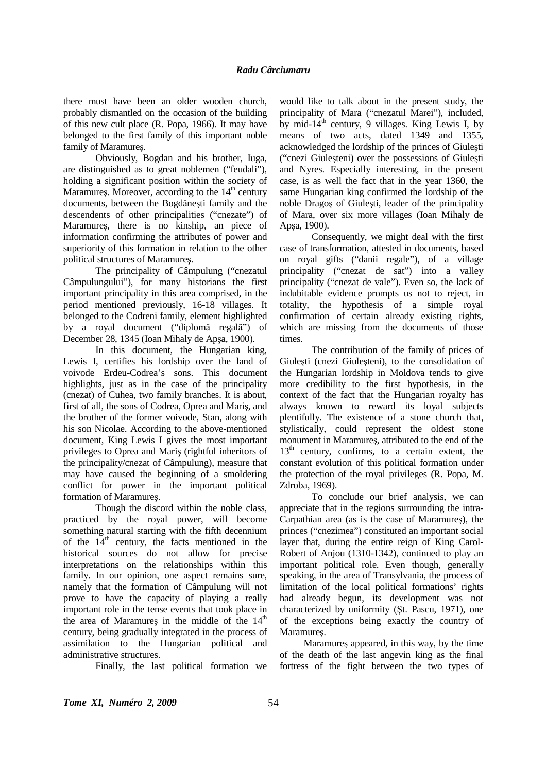there must have been an older wooden church, probably dismantled on the occasion of the building of this new cult place (R. Popa, 1966). It may have belonged to the first family of this important noble family of Maramureş.

Obviously, Bogdan and his brother, Iuga, are distinguished as to great noblemen ("feudali"), holding a significant position within the society of Maramures. Moreover, according to the  $14<sup>th</sup>$  century documents, between the Bogdăneşti family and the descendents of other principalities ("cnezate") of Maramureş, there is no kinship, an piece of information confirming the attributes of power and superiority of this formation in relation to the other political structures of Maramureş.

The principality of Câmpulung ("cnezatul Câmpulungului"), for many historians the first important principality in this area comprised, in the period mentioned previously, 16-18 villages. It belonged to the Codreni family, element highlighted by a royal document ("diplomă regală") of December 28, 1345 (Ioan Mihaly de Apşa, 1900).

In this document, the Hungarian king, Lewis I, certifies his lordship over the land of voivode Erdeu-Codrea's sons. This document highlights, just as in the case of the principality (cnezat) of Cuhea, two family branches. It is about, first of all, the sons of Codrea, Oprea and Mariş, and the brother of the former voivode, Stan, along with his son Nicolae. According to the above-mentioned document, King Lewis I gives the most important privileges to Oprea and Mariş (rightful inheritors of the principality/cnezat of Câmpulung), measure that may have caused the beginning of a smoldering conflict for power in the important political formation of Maramureş.

Though the discord within the noble class, practiced by the royal power, will become something natural starting with the fifth decennium of the  $14<sup>th</sup>$  century, the facts mentioned in the historical sources do not allow for precise interpretations on the relationships within this family. In our opinion, one aspect remains sure, namely that the formation of Câmpulung will not prove to have the capacity of playing a really important role in the tense events that took place in the area of Maramures in the middle of the  $14<sup>th</sup>$ century, being gradually integrated in the process of assimilation to the Hungarian political and administrative structures.

Finally, the last political formation we

would like to talk about in the present study, the principality of Mara ("cnezatul Marei"), included, by mid-14<sup>th</sup> century, 9 villages. King Lewis I, by means of two acts, dated 1349 and 1355, acknowledged the lordship of the princes of Giuleşti ("cnezi Giuleşteni) over the possessions of Giuleşti and Nyres. Especially interesting, in the present case, is as well the fact that in the year 1360, the same Hungarian king confirmed the lordship of the noble Dragoş of Giuleşti, leader of the principality of Mara, over six more villages (Ioan Mihaly de Apşa, 1900).

Consequently, we might deal with the first case of transformation, attested in documents, based on royal gifts ("danii regale"), of a village principality ("cnezat de sat") into a valley principality ("cnezat de vale"). Even so, the lack of indubitable evidence prompts us not to reject, in totality, the hypothesis of a simple royal confirmation of certain already existing rights, which are missing from the documents of those times.

The contribution of the family of prices of Giuleşti (cnezi Giuleşteni), to the consolidation of the Hungarian lordship in Moldova tends to give more credibility to the first hypothesis, in the context of the fact that the Hungarian royalty has always known to reward its loyal subjects plentifully. The existence of a stone church that, stylistically, could represent the oldest stone monument in Maramureş, attributed to the end of the  $13<sup>th</sup>$  century, confirms, to a certain extent, the constant evolution of this political formation under the protection of the royal privileges (R. Popa, M. Zdroba, 1969).

To conclude our brief analysis, we can appreciate that in the regions surrounding the intra-Carpathian area (as is the case of Maramureş), the princes ("cnezimea") constituted an important social layer that, during the entire reign of King Carol-Robert of Anjou (1310-1342), continued to play an important political role. Even though, generally speaking, in the area of Transylvania, the process of limitation of the local political formations' rights had already begun, its development was not characterized by uniformity (Şt. Pascu, 1971), one of the exceptions being exactly the country of Maramureş.

Maramureş appeared, in this way, by the time of the death of the last angevin king as the final fortress of the fight between the two types of